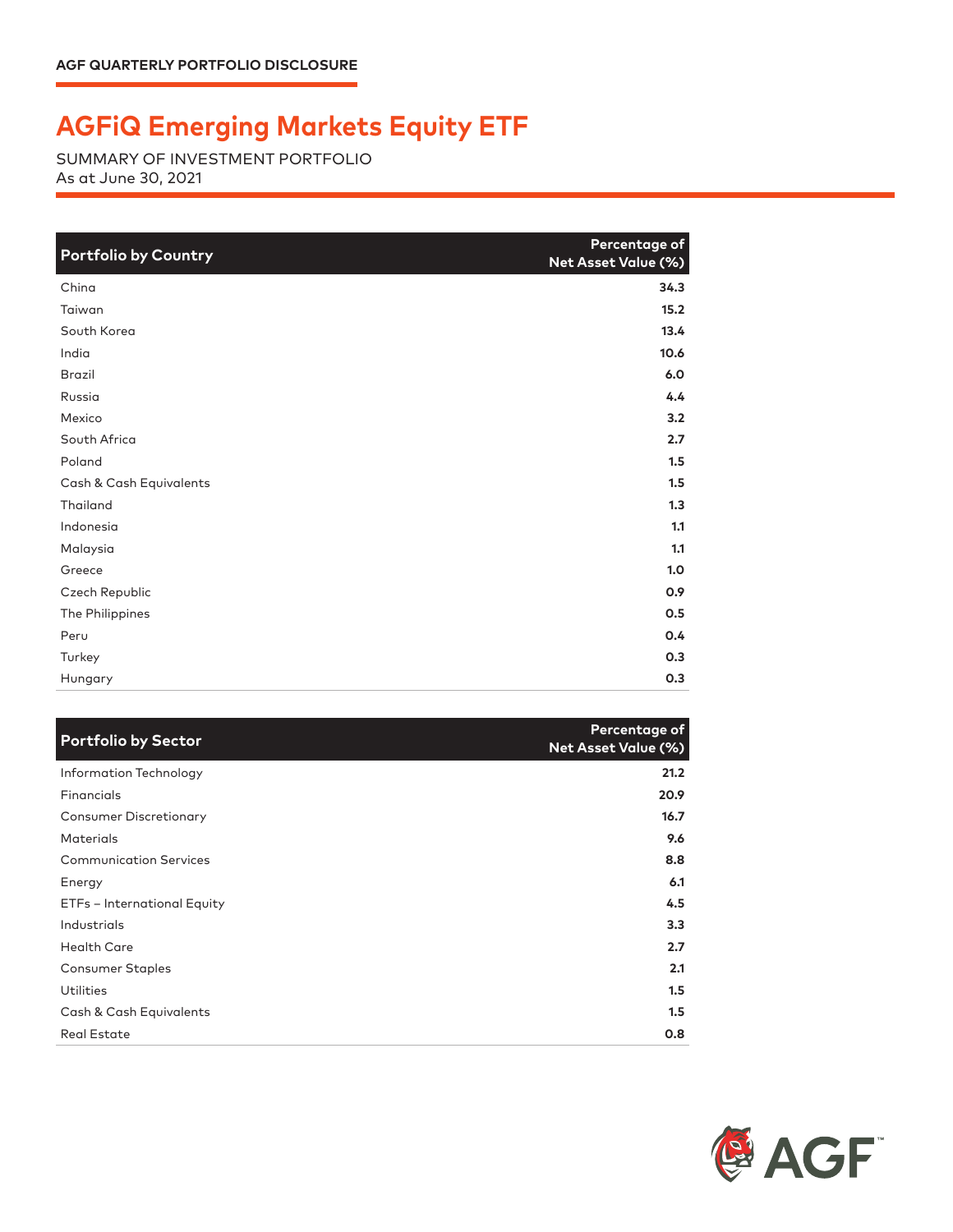## **AGFiQ Emerging Markets Equity ETF**

SUMMARY OF INVESTMENT PORTFOLIO As at June 30, 2021

| <b>Portfolio by Country</b> | Percentage of<br><b>Net Asset Value (%)</b> |
|-----------------------------|---------------------------------------------|
| China                       | 34.3                                        |
| Taiwan                      | 15.2                                        |
| South Korea                 | 13.4                                        |
| India                       | 10.6                                        |
| <b>Brazil</b>               | 6.0                                         |
| Russia                      | 4.4                                         |
| Mexico                      | 3.2                                         |
| South Africa                | 2.7                                         |
| Poland                      | 1.5                                         |
| Cash & Cash Equivalents     | 1.5                                         |
| Thailand                    | 1.3                                         |
| Indonesia                   | 1.1                                         |
| Malaysia                    | 1.1                                         |
| Greece                      | 1.0                                         |
| Czech Republic              | 0.9                                         |
| The Philippines             | 0.5                                         |
| Peru                        | 0.4                                         |
| Turkey                      | 0.3                                         |
| Hungary                     | 0.3                                         |

| <b>Portfolio by Sector</b>    | Percentage of<br><b>Net Asset Value (%)</b> |
|-------------------------------|---------------------------------------------|
| Information Technology        | 21.2                                        |
| Financials                    | 20.9                                        |
| <b>Consumer Discretionary</b> | 16.7                                        |
| <b>Materials</b>              | 9.6                                         |
| <b>Communication Services</b> | 8.8                                         |
| Energy                        | 6.1                                         |
| ETFs - International Equity   | 4.5                                         |
| Industrials                   | 3.3                                         |
| <b>Health Care</b>            | 2.7                                         |
| <b>Consumer Staples</b>       | 2.1                                         |
| <b>Utilities</b>              | 1.5                                         |
| Cash & Cash Equivalents       | 1.5                                         |
| <b>Real Estate</b>            | 0.8                                         |